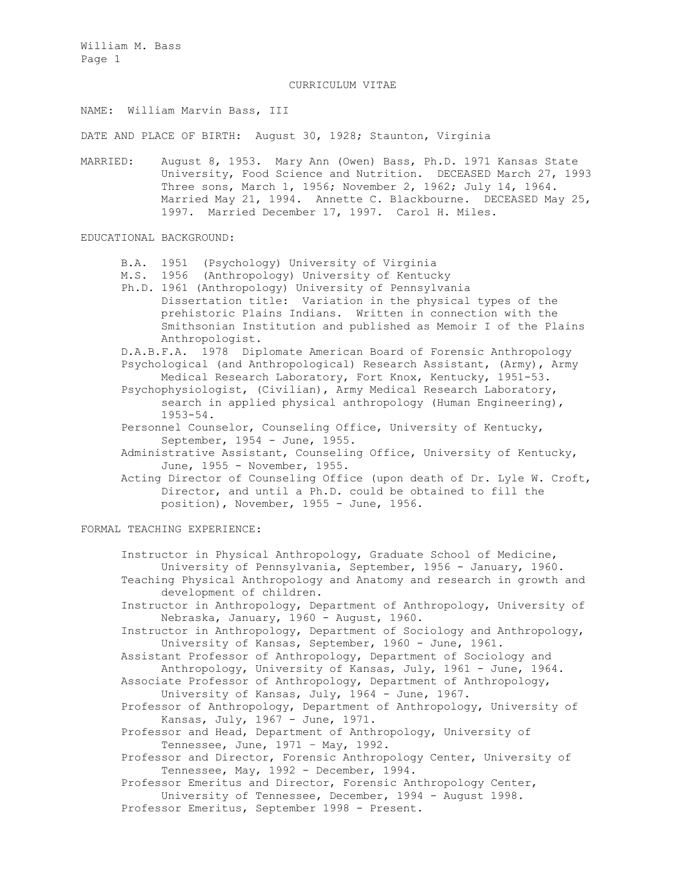#### CURRICULUM VITAE

# NAME: William Marvin Bass, III

DATE AND PLACE OF BIRTH: August 30, 1928; Staunton, Virginia

MARRIED: August 8, 1953. Mary Ann (Owen) Bass, Ph.D. 1971 Kansas State University, Food Science and Nutrition. DECEASED March 27, 1993 Three sons, March 1, 1956; November 2, 1962; July 14, 1964. Married May 21, 1994. Annette C. Blackbourne. DECEASED May 25, 1997. Married December 17, 1997. Carol H. Miles.

## EDUCATIONAL BACKGROUND:

- B.A. 1951 (Psychology) University of Virginia
- M.S. 1956 (Anthropology) University of Kentucky
- Ph.D. 1961 (Anthropology) University of Pennsylvania Dissertation title: Variation in the physical types of the prehistoric Plains Indians. Written in connection with the Smithsonian Institution and published as Memoir I of the Plains Anthropologist.

D.A.B.F.A. 1978 Diplomate American Board of Forensic Anthropology Psychological (and Anthropological) Research Assistant, (Army), Army Medical Research Laboratory, Fort Knox, Kentucky, 1951-53.

- Psychophysiologist, (Civilian), Army Medical Research Laboratory, search in applied physical anthropology (Human Engineering), 1953-54.
- Personnel Counselor, Counseling Office, University of Kentucky, September, 1954 - June, 1955.
- Administrative Assistant, Counseling Office, University of Kentucky, June, 1955 - November, 1955.

Acting Director of Counseling Office (upon death of Dr. Lyle W. Croft, Director, and until a Ph.D. could be obtained to fill the position), November, 1955 - June, 1956.

## FORMAL TEACHING EXPERIENCE:

Instructor in Physical Anthropology, Graduate School of Medicine, University of Pennsylvania, September, 1956 - January, 1960. Teaching Physical Anthropology and Anatomy and research in growth and development of children. Instructor in Anthropology, Department of Anthropology, University of Nebraska, January, 1960 - August, 1960. Instructor in Anthropology, Department of Sociology and Anthropology, University of Kansas, September, 1960 - June, 1961. Assistant Professor of Anthropology, Department of Sociology and Anthropology, University of Kansas, July, 1961 - June, 1964. Associate Professor of Anthropology, Department of Anthropology, University of Kansas, July, 1964 - June, 1967. Professor of Anthropology, Department of Anthropology, University of Kansas, July, 1967 - June, 1971. Professor and Head, Department of Anthropology, University of Tennessee, June, 1971 – May, 1992. Professor and Director, Forensic Anthropology Center, University of Tennessee, May, 1992 - December, 1994. Professor Emeritus and Director, Forensic Anthropology Center, University of Tennessee, December, 1994 - August 1998. Professor Emeritus, September 1998 - Present.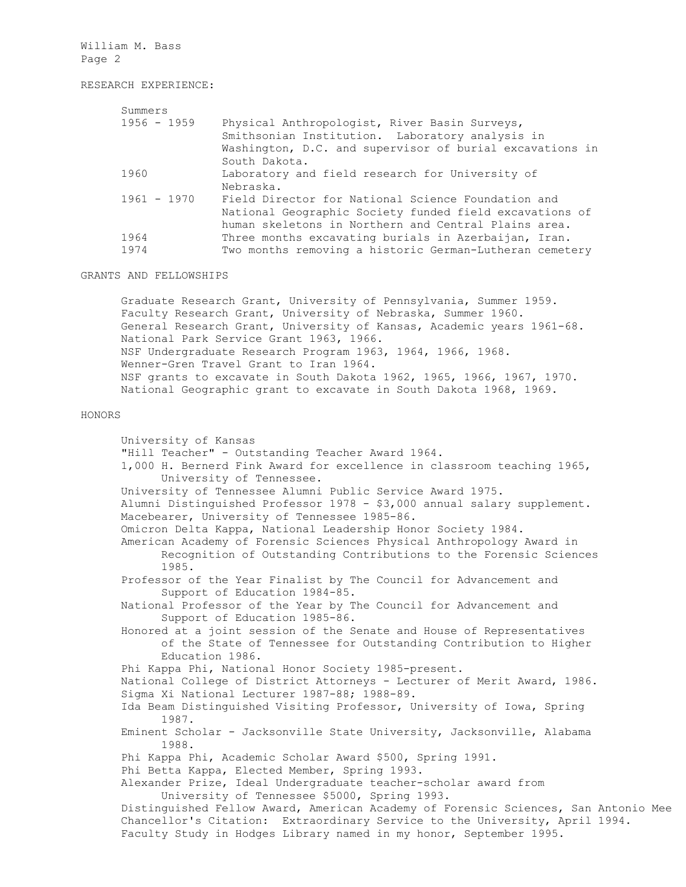## RESEARCH EXPERIENCE:

| Summers       |                                                          |  |
|---------------|----------------------------------------------------------|--|
| $1956 - 1959$ | Physical Anthropologist, River Basin Surveys,            |  |
|               | Smithsonian Institution. Laboratory analysis in          |  |
|               | Washington, D.C. and supervisor of burial excavations in |  |
|               | South Dakota.                                            |  |
| 1960          | Laboratory and field research for University of          |  |
|               | Nebraska.                                                |  |
| $1961 - 1970$ | Field Director for National Science Foundation and       |  |
|               | National Geographic Society funded field excavations of  |  |
|               | human skeletons in Northern and Central Plains area.     |  |
| 1964          | Three months excavating burials in Azerbaijan, Iran.     |  |
| 1974          | Two months removing a historic German-Lutheran cemetery  |  |
|               |                                                          |  |

### GRANTS AND FELLOWSHIPS

Graduate Research Grant, University of Pennsylvania, Summer 1959. Faculty Research Grant, University of Nebraska, Summer 1960. General Research Grant, University of Kansas, Academic years 1961-68. National Park Service Grant 1963, 1966. NSF Undergraduate Research Program 1963, 1964, 1966, 1968. Wenner-Gren Travel Grant to Iran 1964. NSF grants to excavate in South Dakota 1962, 1965, 1966, 1967, 1970. National Geographic grant to excavate in South Dakota 1968, 1969.

#### HONORS

University of Kansas "Hill Teacher" - Outstanding Teacher Award 1964. 1,000 H. Bernerd Fink Award for excellence in classroom teaching 1965, University of Tennessee. University of Tennessee Alumni Public Service Award 1975. Alumni Distinguished Professor 1978 - \$3,000 annual salary supplement. Macebearer, University of Tennessee 1985-86. Omicron Delta Kappa, National Leadership Honor Society 1984. American Academy of Forensic Sciences Physical Anthropology Award in Recognition of Outstanding Contributions to the Forensic Sciences 1985. Professor of the Year Finalist by The Council for Advancement and Support of Education 1984-85. National Professor of the Year by The Council for Advancement and Support of Education 1985-86. Honored at a joint session of the Senate and House of Representatives of the State of Tennessee for Outstanding Contribution to Higher Education 1986. Phi Kappa Phi, National Honor Society 1985-present. National College of District Attorneys - Lecturer of Merit Award, 1986. Sigma Xi National Lecturer 1987-88; 1988-89. Ida Beam Distinguished Visiting Professor, University of Iowa, Spring 1987. Eminent Scholar - Jacksonville State University, Jacksonville, Alabama 1988. Phi Kappa Phi, Academic Scholar Award \$500, Spring 1991. Phi Betta Kappa, Elected Member, Spring 1993. Alexander Prize, Ideal Undergraduate teacher-scholar award from University of Tennessee \$5000, Spring 1993. Distinguished Fellow Award, American Academy of Forensic Sciences, San Antonio Mee Chancellor's Citation: Extraordinary Service to the University, April 1994. Faculty Study in Hodges Library named in my honor, September 1995.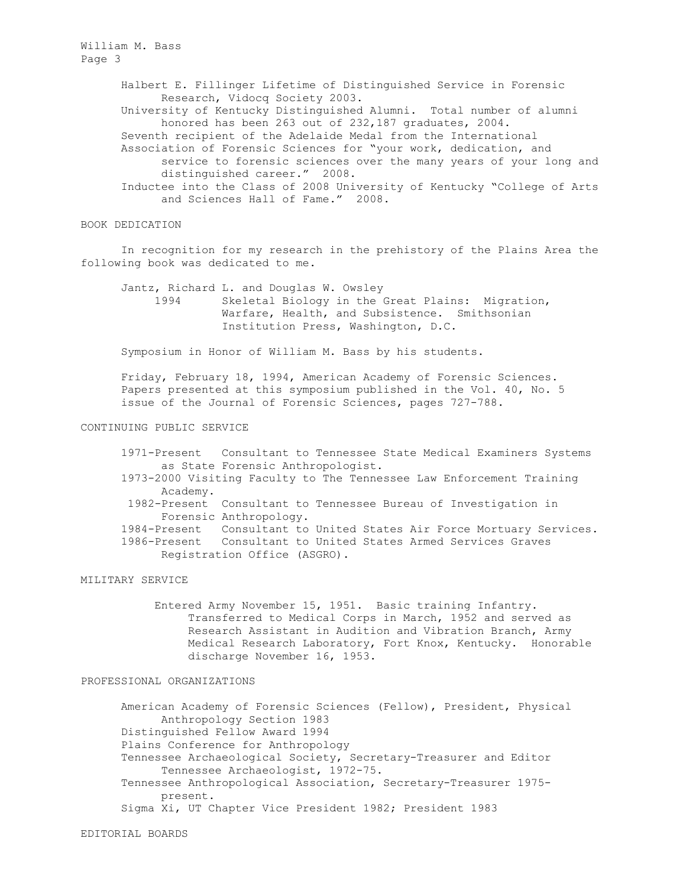> Halbert E. Fillinger Lifetime of Distinguished Service in Forensic Research, Vidocq Society 2003.

University of Kentucky Distinguished Alumni. Total number of alumni honored has been 263 out of 232,187 graduates, 2004.

Seventh recipient of the Adelaide Medal from the International Association of Forensic Sciences for "your work, dedication, and service to forensic sciences over the many years of your long and distinguished career." 2008.

Inductee into the Class of 2008 University of Kentucky "College of Arts and Sciences Hall of Fame." 2008.

## BOOK DEDICATION

In recognition for my research in the prehistory of the Plains Area the following book was dedicated to me.

Jantz, Richard L. and Douglas W. Owsley 1994 Skeletal Biology in the Great Plains: Migration, Warfare, Health, and Subsistence. Smithsonian Institution Press, Washington, D.C.

Symposium in Honor of William M. Bass by his students.

Friday, February 18, 1994, American Academy of Forensic Sciences. Papers presented at this symposium published in the Vol. 40, No. 5 issue of the Journal of Forensic Sciences, pages 727-788.

## CONTINUING PUBLIC SERVICE

- 1971-Present Consultant to Tennessee State Medical Examiners Systems as State Forensic Anthropologist.
- 1973-2000 Visiting Faculty to The Tennessee Law Enforcement Training Academy.
- 1982-Present Consultant to Tennessee Bureau of Investigation in Forensic Anthropology.

1984-Present Consultant to United States Air Force Mortuary Services. 1986-Present Consultant to United States Armed Services Graves Registration Office (ASGRO).

## MILITARY SERVICE

Entered Army November 15, 1951. Basic training Infantry. Transferred to Medical Corps in March, 1952 and served as Research Assistant in Audition and Vibration Branch, Army Medical Research Laboratory, Fort Knox, Kentucky. Honorable discharge November 16, 1953.

### PROFESSIONAL ORGANIZATIONS

American Academy of Forensic Sciences (Fellow), President, Physical Anthropology Section 1983 Distinguished Fellow Award 1994 Plains Conference for Anthropology Tennessee Archaeological Society, Secretary-Treasurer and Editor Tennessee Archaeologist, 1972-75. Tennessee Anthropological Association, Secretary-Treasurer 1975 present. Sigma Xi, UT Chapter Vice President 1982; President 1983

EDITORIAL BOARDS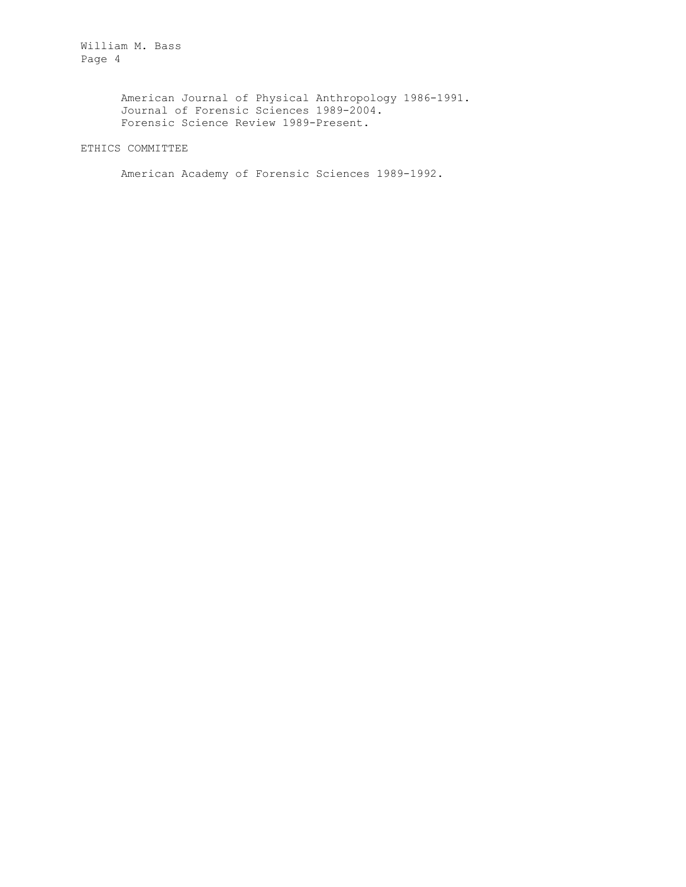> American Journal of Physical Anthropology 1986-1991. Journal of Forensic Sciences 1989-2004. Forensic Science Review 1989-Present.

ETHICS COMMITTEE

American Academy of Forensic Sciences 1989-1992.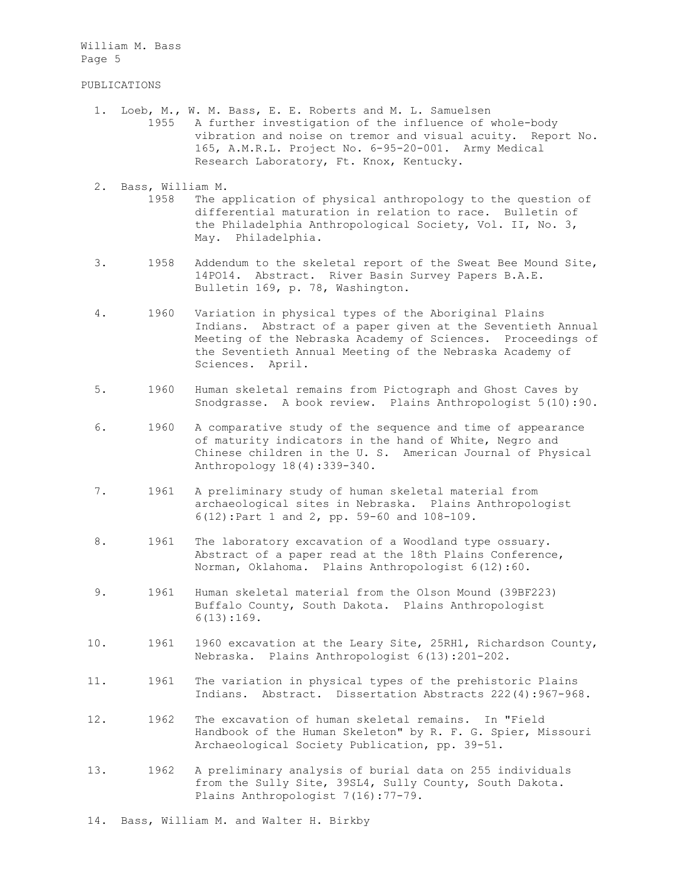### PUBLICATIONS

- 1. Loeb, M., W. M. Bass, E. E. Roberts and M. L. Samuelsen 1955 A further investigation of the influence of whole-body vibration and noise on tremor and visual acuity. Report No. 165, A.M.R.L. Project No. 6-95-20-001. Army Medical Research Laboratory, Ft. Knox, Kentucky.
- 2. Bass, William M. 1958 The application of physical anthropology to the question of differential maturation in relation to race. Bulletin of the Philadelphia Anthropological Society, Vol. II, No. 3, May. Philadelphia.
- 3. 1958 Addendum to the skeletal report of the Sweat Bee Mound Site, 14PO14. Abstract. River Basin Survey Papers B.A.E. Bulletin 169, p. 78, Washington.
- 4. 1960 Variation in physical types of the Aboriginal Plains Indians. Abstract of a paper given at the Seventieth Annual Meeting of the Nebraska Academy of Sciences. Proceedings of the Seventieth Annual Meeting of the Nebraska Academy of Sciences. April.
- 5. 1960 Human skeletal remains from Pictograph and Ghost Caves by Snodgrasse. A book review. Plains Anthropologist 5(10):90.
- 6. 1960 A comparative study of the sequence and time of appearance of maturity indicators in the hand of White, Negro and Chinese children in the U. S. American Journal of Physical Anthropology 18(4):339-340.
- 7. 1961 A preliminary study of human skeletal material from archaeological sites in Nebraska. Plains Anthropologist 6(12):Part 1 and 2, pp. 59-60 and 108-109.
- 8. 1961 The laboratory excavation of a Woodland type ossuary. Abstract of a paper read at the 18th Plains Conference, Norman, Oklahoma. Plains Anthropologist 6(12):60.
- 9. 1961 Human skeletal material from the Olson Mound (39BF223) Buffalo County, South Dakota. Plains Anthropologist 6(13):169.
- 10. 1961 1960 excavation at the Leary Site, 25RH1, Richardson County, Nebraska. Plains Anthropologist 6(13):201-202.
- 11. 1961 The variation in physical types of the prehistoric Plains Indians. Abstract. Dissertation Abstracts 222(4):967-968.
- 12. 1962 The excavation of human skeletal remains. In "Field Handbook of the Human Skeleton" by R. F. G. Spier, Missouri Archaeological Society Publication, pp. 39-51.
- 13. 1962 A preliminary analysis of burial data on 255 individuals from the Sully Site, 39SL4, Sully County, South Dakota. Plains Anthropologist 7(16):77-79.
- 14. Bass, William M. and Walter H. Birkby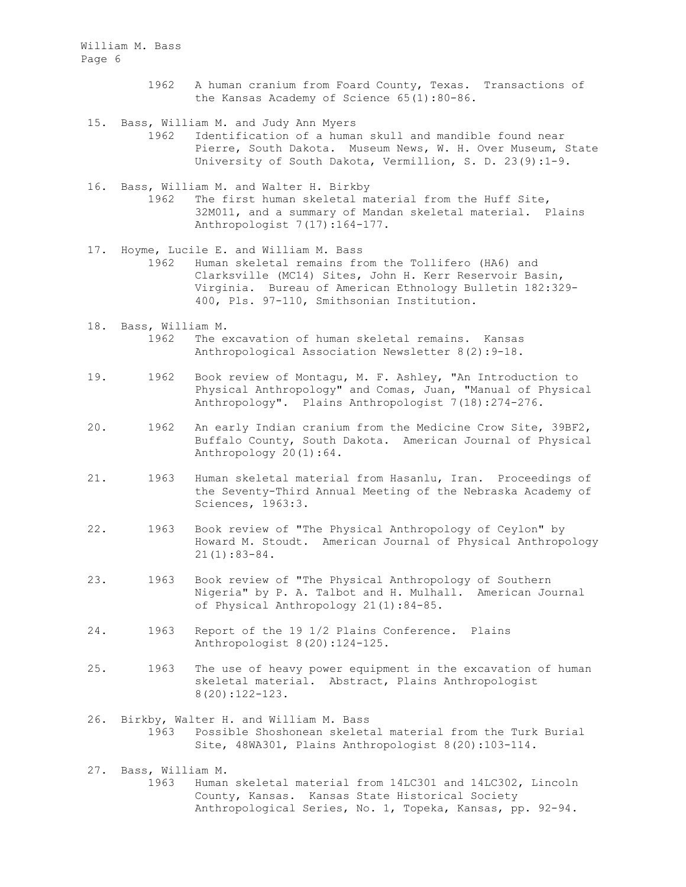- 1962 A human cranium from Foard County, Texas. Transactions of the Kansas Academy of Science 65(1):80-86.
- 15. Bass, William M. and Judy Ann Myers 1962 Identification of a human skull and mandible found near Pierre, South Dakota. Museum News, W. H. Over Museum, State University of South Dakota, Vermillion, S. D. 23(9):1-9.
- 16. Bass, William M. and Walter H. Birkby 1962 The first human skeletal material from the Huff Site, 32M011, and a summary of Mandan skeletal material. Plains Anthropologist 7(17):164-177.
- 17. Hoyme, Lucile E. and William M. Bass 1962 Human skeletal remains from the Tollifero (HA6) and Clarksville (MC14) Sites, John H. Kerr Reservoir Basin, Virginia. Bureau of American Ethnology Bulletin 182:329- 400, Pls. 97-110, Smithsonian Institution.
- 18. Bass, William M.<br>1962 The e The excavation of human skeletal remains. Kansas Anthropological Association Newsletter 8(2):9-18.
- 19. 1962 Book review of Montagu, M. F. Ashley, "An Introduction to Physical Anthropology" and Comas, Juan, "Manual of Physical Anthropology". Plains Anthropologist 7(18):274-276.
- 20. 1962 An early Indian cranium from the Medicine Crow Site, 39BF2, Buffalo County, South Dakota. American Journal of Physical Anthropology 20(1):64.
- 21. 1963 Human skeletal material from Hasanlu, Iran. Proceedings of the Seventy-Third Annual Meeting of the Nebraska Academy of Sciences, 1963:3.
- 22. 1963 Book review of "The Physical Anthropology of Ceylon" by Howard M. Stoudt. American Journal of Physical Anthropology 21(1):83-84.
- 23. 1963 Book review of "The Physical Anthropology of Southern Nigeria" by P. A. Talbot and H. Mulhall. American Journal of Physical Anthropology 21(1):84-85.
- 24. 1963 Report of the 19 1/2 Plains Conference. Plains Anthropologist 8(20):124-125.
- 25. 1963 The use of heavy power equipment in the excavation of human skeletal material. Abstract, Plains Anthropologist 8(20):122-123.
- 26. Birkby, Walter H. and William M. Bass 1963 Possible Shoshonean skeletal material from the Turk Burial Site, 48WA301, Plains Anthropologist 8(20):103-114.

 27. Bass, William M. 1963 Human skeletal material from 14LC301 and 14LC302, Lincoln County, Kansas. Kansas State Historical Society Anthropological Series, No. 1, Topeka, Kansas, pp. 92-94.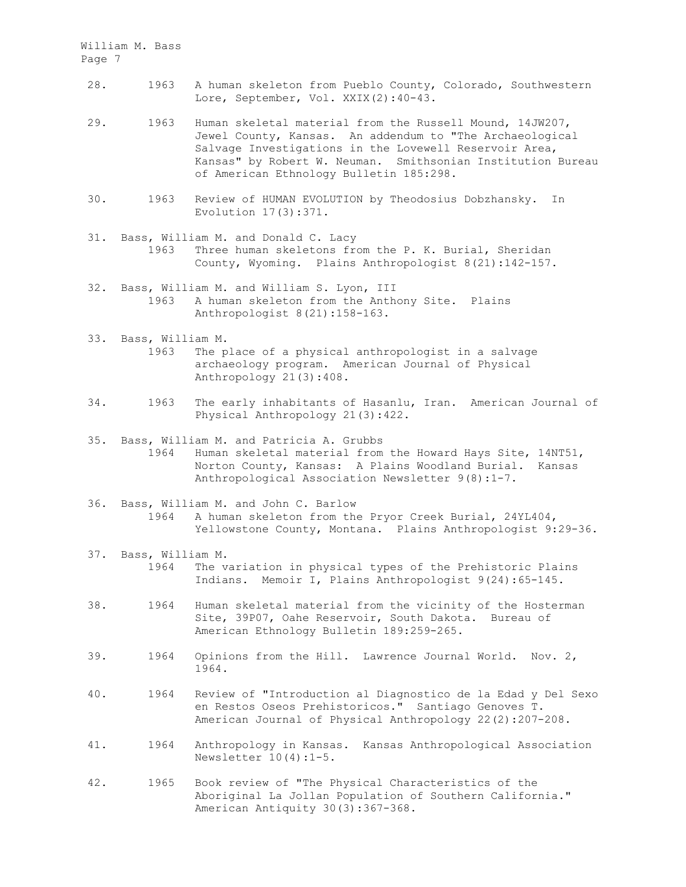- 28. 1963 A human skeleton from Pueblo County, Colorado, Southwestern Lore, September, Vol. XXIX(2):40-43.
- 29. 1963 Human skeletal material from the Russell Mound, 14JW207, Jewel County, Kansas. An addendum to "The Archaeological Salvage Investigations in the Lovewell Reservoir Area, Kansas" by Robert W. Neuman. Smithsonian Institution Bureau of American Ethnology Bulletin 185:298.
- 30. 1963 Review of HUMAN EVOLUTION by Theodosius Dobzhansky. In Evolution 17(3):371.
- 31. Bass, William M. and Donald C. Lacy 1963 Three human skeletons from the P. K. Burial, Sheridan County, Wyoming. Plains Anthropologist 8(21):142-157.
- 32. Bass, William M. and William S. Lyon, III 1963 A human skeleton from the Anthony Site. Plains Anthropologist 8(21):158-163.
- 33. Bass, William M. 1963 The place of a physical anthropologist in a salvage archaeology program. American Journal of Physical Anthropology 21(3):408.
- 34. 1963 The early inhabitants of Hasanlu, Iran. American Journal of Physical Anthropology 21(3):422.
- 35. Bass, William M. and Patricia A. Grubbs 1964 Human skeletal material from the Howard Hays Site, 14NT51, Norton County, Kansas: A Plains Woodland Burial. Kansas Anthropological Association Newsletter 9(8):1-7.
- 36. Bass, William M. and John C. Barlow 1964 A human skeleton from the Pryor Creek Burial, 24YL404, Yellowstone County, Montana. Plains Anthropologist 9:29-36.
- 37. Bass, William M. 1964 The variation in physical types of the Prehistoric Plains Indians. Memoir I, Plains Anthropologist 9(24):65-145.
- 38. 1964 Human skeletal material from the vicinity of the Hosterman Site, 39P07, Oahe Reservoir, South Dakota. Bureau of American Ethnology Bulletin 189:259-265.
- 39. 1964 Opinions from the Hill. Lawrence Journal World. Nov. 2, 1964.
- 40. 1964 Review of "Introduction al Diagnostico de la Edad y Del Sexo en Restos Oseos Prehistoricos." Santiago Genoves T. American Journal of Physical Anthropology 22(2):207-208.
- 41. 1964 Anthropology in Kansas. Kansas Anthropological Association Newsletter 10(4):1-5.
- 42. 1965 Book review of "The Physical Characteristics of the Aboriginal La Jollan Population of Southern California." American Antiquity 30(3):367-368.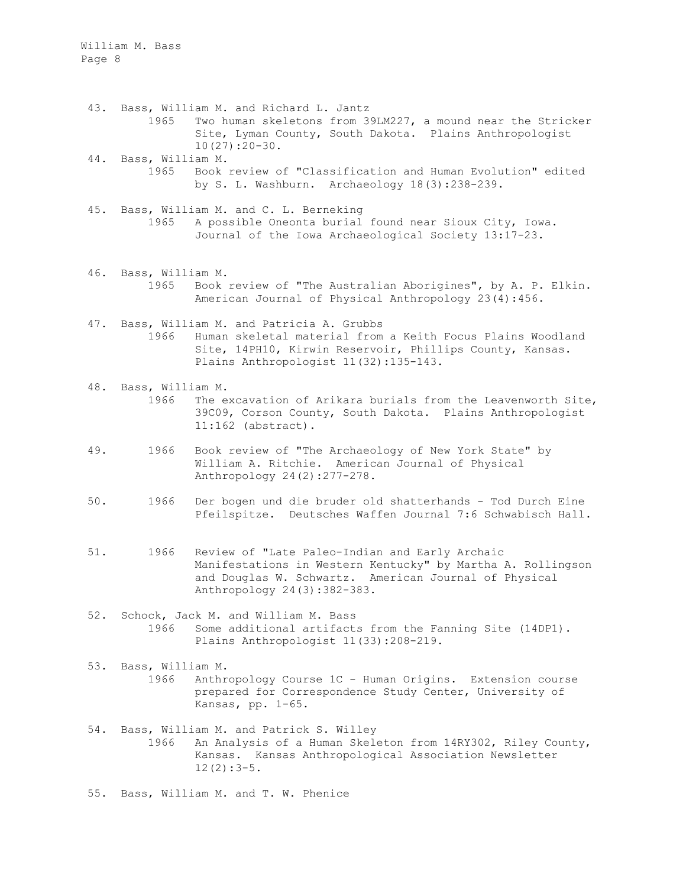- 43. Bass, William M. and Richard L. Jantz 1965 Two human skeletons from 39LM227, a mound near the Stricker Site, Lyman County, South Dakota. Plains Anthropologist 10(27):20-30.
- 44. Bass, William M. 1965 Book review of "Classification and Human Evolution" edited by S. L. Washburn. Archaeology 18(3):238-239.
- 45. Bass, William M. and C. L. Berneking 1965 A possible Oneonta burial found near Sioux City, Iowa. Journal of the Iowa Archaeological Society 13:17-23.
- 46. Bass, William M. 1965 Book review of "The Australian Aborigines", by A. P. Elkin. American Journal of Physical Anthropology 23(4):456.
- 47. Bass, William M. and Patricia A. Grubbs 1966 Human skeletal material from a Keith Focus Plains Woodland Site, 14PH10, Kirwin Reservoir, Phillips County, Kansas. Plains Anthropologist 11(32):135-143.
- 48. Bass, William M. 1966 The excavation of Arikara burials from the Leavenworth Site, 39C09, Corson County, South Dakota. Plains Anthropologist 11:162 (abstract).
- 49. 1966 Book review of "The Archaeology of New York State" by William A. Ritchie. American Journal of Physical Anthropology 24(2):277-278.
- 50. 1966 Der bogen und die bruder old shatterhands Tod Durch Eine Pfeilspitze. Deutsches Waffen Journal 7:6 Schwabisch Hall.
- 51. 1966 Review of "Late Paleo-Indian and Early Archaic Manifestations in Western Kentucky" by Martha A. Rollingson and Douglas W. Schwartz. American Journal of Physical Anthropology 24(3):382-383.
- 52. Schock, Jack M. and William M. Bass 1966 Some additional artifacts from the Fanning Site (14DP1). Plains Anthropologist 11(33):208-219.
- 53. Bass, William M. 1966 Anthropology Course 1C - Human Origins. Extension course prepared for Correspondence Study Center, University of Kansas, pp. 1-65.
- 54. Bass, William M. and Patrick S. Willey 1966 An Analysis of a Human Skeleton from 14RY302, Riley County, Kansas. Kansas Anthropological Association Newsletter  $12(2):3-5.$
- 55. Bass, William M. and T. W. Phenice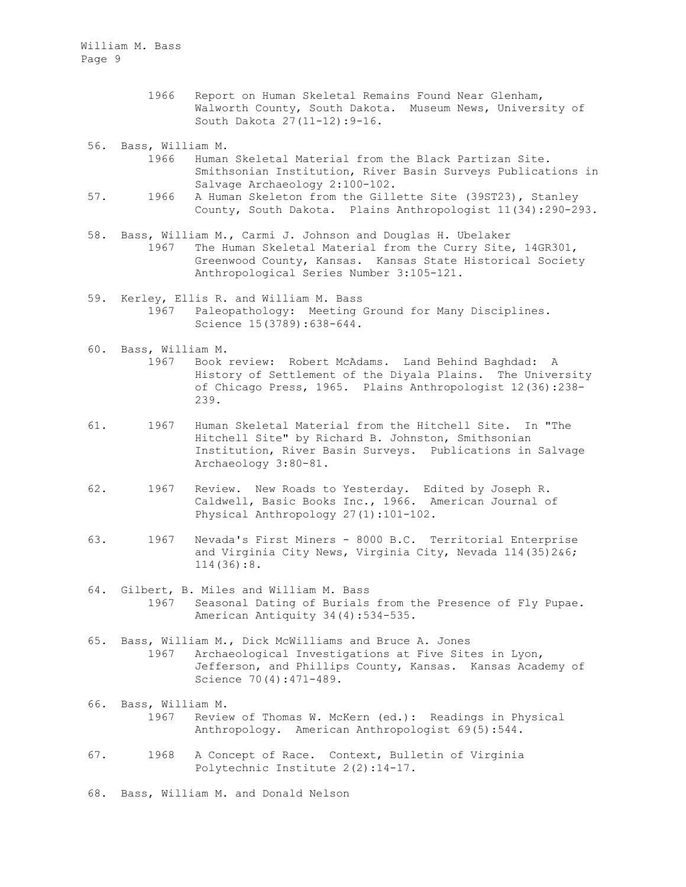> 1966 Report on Human Skeletal Remains Found Near Glenham, Walworth County, South Dakota. Museum News, University of South Dakota 27(11-12):9-16.

56. Bass, William M.

- 1966 Human Skeletal Material from the Black Partizan Site. Smithsonian Institution, River Basin Surveys Publications in Salvage Archaeology 2:100-102.
- 57. 1966 A Human Skeleton from the Gillette Site (39ST23), Stanley County, South Dakota. Plains Anthropologist 11(34):290-293.
- 58. Bass, William M., Carmi J. Johnson and Douglas H. Ubelaker 1967 The Human Skeletal Material from the Curry Site, 14GR301, Greenwood County, Kansas. Kansas State Historical Society Anthropological Series Number 3:105-121.
- 59. Kerley, Ellis R. and William M. Bass 1967 Paleopathology: Meeting Ground for Many Disciplines. Science 15(3789):638-644.
- 60. Bass, William M. 1967 Book review: Robert McAdams. Land Behind Baghdad: A History of Settlement of the Diyala Plains. The University of Chicago Press, 1965. Plains Anthropologist 12(36):238- 239.
- 61. 1967 Human Skeletal Material from the Hitchell Site. In "The Hitchell Site" by Richard B. Johnston, Smithsonian Institution, River Basin Surveys. Publications in Salvage Archaeology 3:80-81.
- 62. 1967 Review. New Roads to Yesterday. Edited by Joseph R. Caldwell, Basic Books Inc., 1966. American Journal of Physical Anthropology 27(1):101-102.
- 63. 1967 Nevada's First Miners 8000 B.C. Territorial Enterprise and Virginia City News, Virginia City, Nevada 114(35)2&6; 114(36):8.
- 64. Gilbert, B. Miles and William M. Bass 1967 Seasonal Dating of Burials from the Presence of Fly Pupae. American Antiquity 34(4):534-535.
- 65. Bass, William M., Dick McWilliams and Bruce A. Jones 1967 Archaeological Investigations at Five Sites in Lyon, Jefferson, and Phillips County, Kansas. Kansas Academy of Science 70(4):471-489.
- 66. Bass, William M. 1967 Review of Thomas W. McKern (ed.): Readings in Physical Anthropology. American Anthropologist 69(5):544.
- 67. 1968 A Concept of Race. Context, Bulletin of Virginia Polytechnic Institute 2(2):14-17.

68. Bass, William M. and Donald Nelson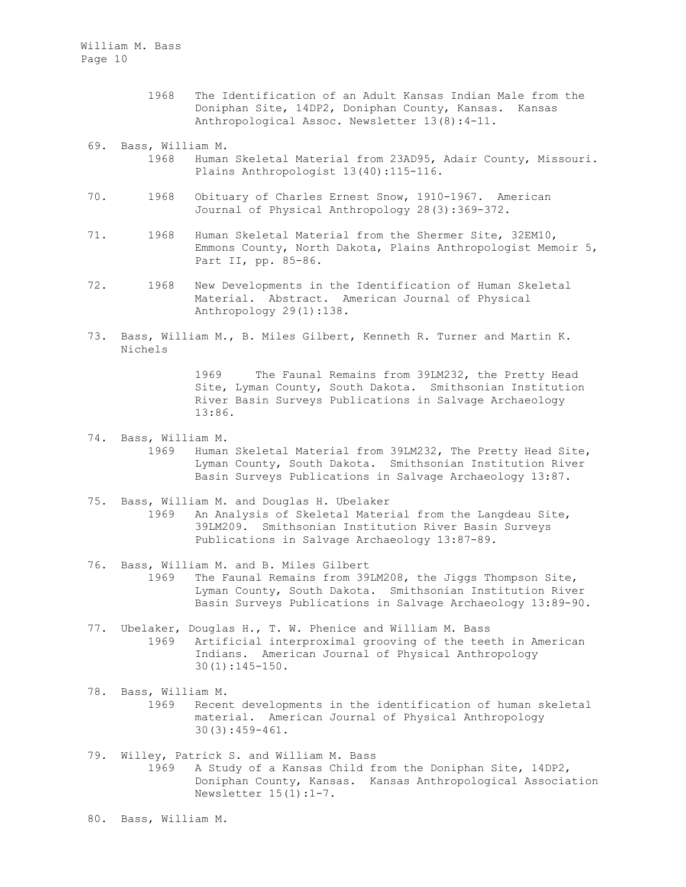- 1968 The Identification of an Adult Kansas Indian Male from the Doniphan Site, 14DP2, Doniphan County, Kansas. Kansas Anthropological Assoc. Newsletter 13(8):4-11.
- 69. Bass, William M.
- 1968 Human Skeletal Material from 23AD95, Adair County, Missouri. Plains Anthropologist 13(40):115-116.
- 70. 1968 Obituary of Charles Ernest Snow, 1910-1967. American Journal of Physical Anthropology 28(3):369-372.
- 71. 1968 Human Skeletal Material from the Shermer Site, 32EM10, Emmons County, North Dakota, Plains Anthropologist Memoir 5, Part II, pp. 85-86.
- 72. 1968 New Developments in the Identification of Human Skeletal Material. Abstract. American Journal of Physical Anthropology 29(1):138.
- 73. Bass, William M., B. Miles Gilbert, Kenneth R. Turner and Martin K. Nichels

1969 The Faunal Remains from 39LM232, the Pretty Head Site, Lyman County, South Dakota. Smithsonian Institution River Basin Surveys Publications in Salvage Archaeology 13:86.

- 74. Bass, William M. 1969 Human Skeletal Material from 39LM232, The Pretty Head Site, Lyman County, South Dakota. Smithsonian Institution River Basin Surveys Publications in Salvage Archaeology 13:87.
- 75. Bass, William M. and Douglas H. Ubelaker 1969 An Analysis of Skeletal Material from the Langdeau Site, 39LM209. Smithsonian Institution River Basin Surveys Publications in Salvage Archaeology 13:87-89.
- 76. Bass, William M. and B. Miles Gilbert 1969 The Faunal Remains from 39LM208, the Jiggs Thompson Site, Lyman County, South Dakota. Smithsonian Institution River Basin Surveys Publications in Salvage Archaeology 13:89-90.
- 77. Ubelaker, Douglas H., T. W. Phenice and William M. Bass 1969 Artificial interproximal grooving of the teeth in American Indians. American Journal of Physical Anthropology 30(1):145-150.
- 78. Bass, William M. 1969 Recent developments in the identification of human skeletal material. American Journal of Physical Anthropology 30(3):459-461.
- 79. Willey, Patrick S. and William M. Bass 1969 A Study of a Kansas Child from the Doniphan Site, 14DP2, Doniphan County, Kansas. Kansas Anthropological Association Newsletter 15(1):1-7.

80. Bass, William M.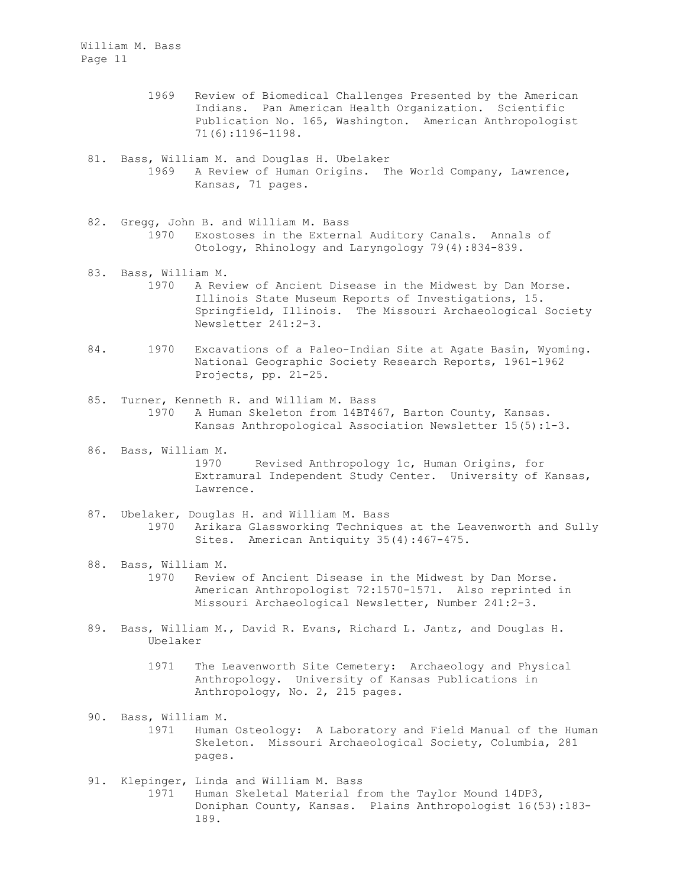- 1969 Review of Biomedical Challenges Presented by the American Indians. Pan American Health Organization. Scientific Publication No. 165, Washington. American Anthropologist 71(6):1196-1198.
- 81. Bass, William M. and Douglas H. Ubelaker 1969 A Review of Human Origins. The World Company, Lawrence, Kansas, 71 pages.
- 82. Gregg, John B. and William M. Bass 1970 Exostoses in the External Auditory Canals. Annals of Otology, Rhinology and Laryngology 79(4):834-839.
- 83. Bass, William M. 1970 A Review of Ancient Disease in the Midwest by Dan Morse. Illinois State Museum Reports of Investigations, 15. Springfield, Illinois. The Missouri Archaeological Society Newsletter 241:2-3.
- 84. 1970 Excavations of a Paleo-Indian Site at Agate Basin, Wyoming. National Geographic Society Research Reports, 1961-1962 Projects, pp. 21-25.
- 85. Turner, Kenneth R. and William M. Bass 1970 A Human Skeleton from 14BT467, Barton County, Kansas. Kansas Anthropological Association Newsletter 15(5):1-3.
- 86. Bass, William M. 1970 Revised Anthropology 1c, Human Origins, for Extramural Independent Study Center. University of Kansas, Lawrence.
- 87. Ubelaker, Douglas H. and William M. Bass 1970 Arikara Glassworking Techniques at the Leavenworth and Sully Sites. American Antiquity 35(4):467-475.
- 88. Bass, William M. 1970 Review of Ancient Disease in the Midwest by Dan Morse. American Anthropologist 72:1570-1571. Also reprinted in Missouri Archaeological Newsletter, Number 241:2-3.
- 89. Bass, William M., David R. Evans, Richard L. Jantz, and Douglas H. Ubelaker
	- 1971 The Leavenworth Site Cemetery: Archaeology and Physical Anthropology. University of Kansas Publications in Anthropology, No. 2, 215 pages.
- 90. Bass, William M. 1971 Human Osteology: A Laboratory and Field Manual of the Human Skeleton. Missouri Archaeological Society, Columbia, 281 pages.
- 91. Klepinger, Linda and William M. Bass 1971 Human Skeletal Material from the Taylor Mound 14DP3, Doniphan County, Kansas. Plains Anthropologist 16(53):183- 189.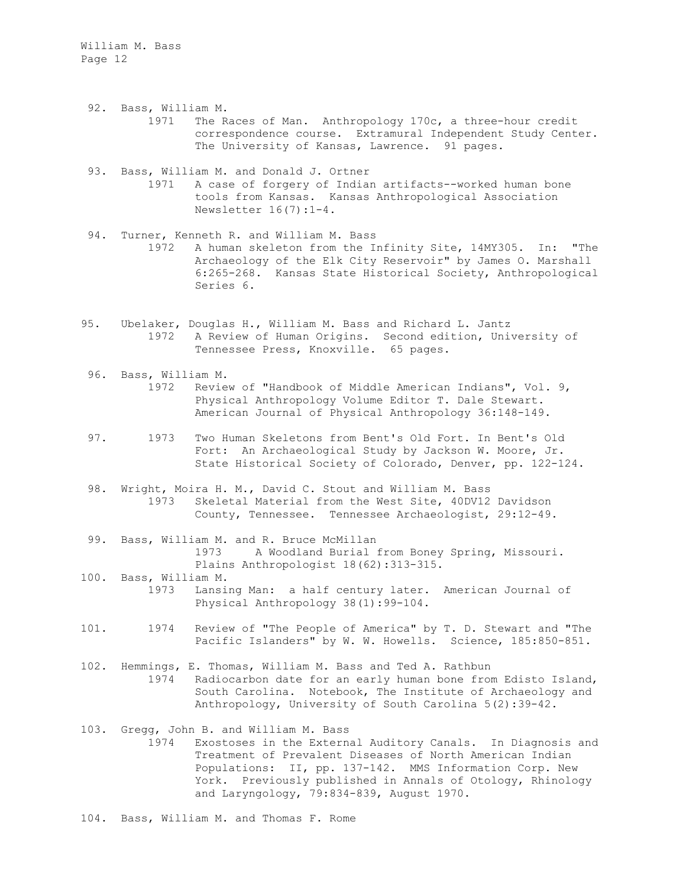- 92. Bass, William M. 1971 The Races of Man. Anthropology 170c, a three-hour credit correspondence course. Extramural Independent Study Center. The University of Kansas, Lawrence. 91 pages.
- 93. Bass, William M. and Donald J. Ortner 1971 A case of forgery of Indian artifacts--worked human bone tools from Kansas. Kansas Anthropological Association Newsletter 16(7):1-4.
- 94. Turner, Kenneth R. and William M. Bass 1972 A human skeleton from the Infinity Site, 14MY305. In: "The Archaeology of the Elk City Reservoir" by James O. Marshall 6:265-268. Kansas State Historical Society, Anthropological Series 6.
- 95. Ubelaker, Douglas H., William M. Bass and Richard L. Jantz 1972 A Review of Human Origins. Second edition, University of Tennessee Press, Knoxville. 65 pages.
- 96. Bass, William M. 1972 Review of "Handbook of Middle American Indians", Vol. 9, Physical Anthropology Volume Editor T. Dale Stewart. American Journal of Physical Anthropology 36:148-149.
- 97. 1973 Two Human Skeletons from Bent's Old Fort. In Bent's Old Fort: An Archaeological Study by Jackson W. Moore, Jr. State Historical Society of Colorado, Denver, pp. 122-124.
- 98. Wright, Moira H. M., David C. Stout and William M. Bass 1973 Skeletal Material from the West Site, 40DV12 Davidson County, Tennessee. Tennessee Archaeologist, 29:12-49.
- 99. Bass, William M. and R. Bruce McMillan 1973 A Woodland Burial from Boney Spring, Missouri. Plains Anthropologist 18(62):313-315.
- 100. Bass, William M. 1973 Lansing Man: a half century later. American Journal of Physical Anthropology 38(1):99-104.
- 101. 1974 Review of "The People of America" by T. D. Stewart and "The Pacific Islanders" by W. W. Howells. Science, 185:850-851.
- 102. Hemmings, E. Thomas, William M. Bass and Ted A. Rathbun 1974 Radiocarbon date for an early human bone from Edisto Island, South Carolina. Notebook, The Institute of Archaeology and Anthropology, University of South Carolina 5(2):39-42.
- 103. Gregg, John B. and William M. Bass
	- 1974 Exostoses in the External Auditory Canals. In Diagnosis and Treatment of Prevalent Diseases of North American Indian Populations: II, pp. 137-142. MMS Information Corp. New York. Previously published in Annals of Otology, Rhinology and Laryngology, 79:834-839, August 1970.

104. Bass, William M. and Thomas F. Rome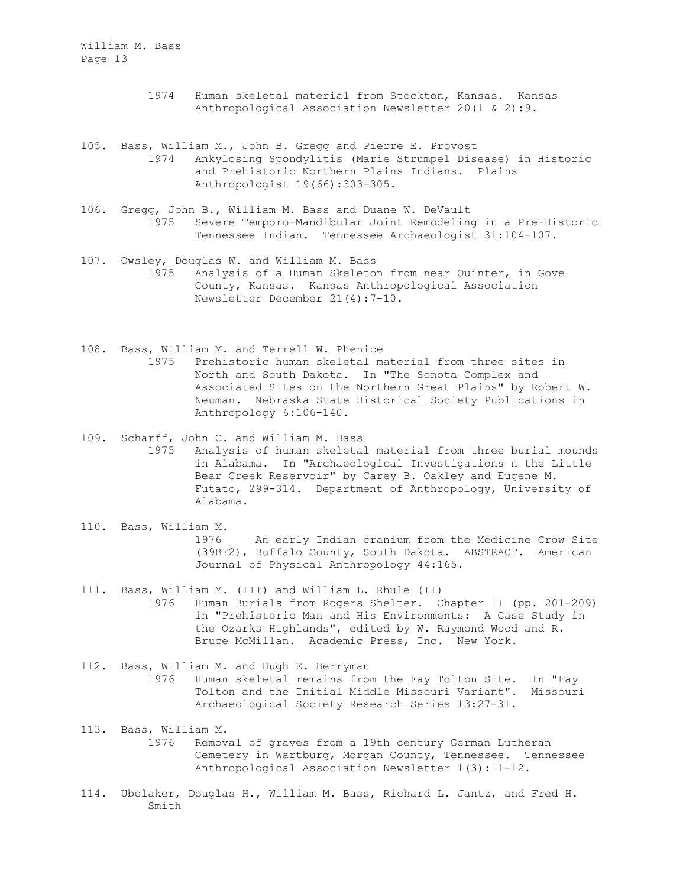- 1974 Human skeletal material from Stockton, Kansas. Kansas Anthropological Association Newsletter 20(1 & 2):9.
- 105. Bass, William M., John B. Gregg and Pierre E. Provost 1974 Ankylosing Spondylitis (Marie Strumpel Disease) in Historic and Prehistoric Northern Plains Indians. Plains Anthropologist 19(66):303-305.
- 106. Gregg, John B., William M. Bass and Duane W. DeVault 1975 Severe Temporo-Mandibular Joint Remodeling in a Pre-Historic Tennessee Indian. Tennessee Archaeologist 31:104-107.
- 107. Owsley, Douglas W. and William M. Bass 1975 Analysis of a Human Skeleton from near Quinter, in Gove County, Kansas. Kansas Anthropological Association Newsletter December 21(4):7-10.
- 108. Bass, William M. and Terrell W. Phenice 1975 Prehistoric human skeletal material from three sites in North and South Dakota. In "The Sonota Complex and Associated Sites on the Northern Great Plains" by Robert W. Neuman. Nebraska State Historical Society Publications in Anthropology 6:106-140.
- 109. Scharff, John C. and William M. Bass 1975 Analysis of human skeletal material from three burial mounds in Alabama. In "Archaeological Investigations n the Little Bear Creek Reservoir" by Carey B. Oakley and Eugene M. Futato, 299-314. Department of Anthropology, University of Alabama.
- 110. Bass, William M. 1976 An early Indian cranium from the Medicine Crow Site (39BF2), Buffalo County, South Dakota. ABSTRACT. American Journal of Physical Anthropology 44:165.
- 111. Bass, William M. (III) and William L. Rhule (II) 1976 Human Burials from Rogers Shelter. Chapter II (pp. 201-209) in "Prehistoric Man and His Environments: A Case Study in the Ozarks Highlands", edited by W. Raymond Wood and R. Bruce McMillan. Academic Press, Inc. New York.
- 112. Bass, William M. and Hugh E. Berryman 1976 Human skeletal remains from the Fay Tolton Site. In "Fay Tolton and the Initial Middle Missouri Variant". Missouri Archaeological Society Research Series 13:27-31.
- 113. Bass, William M. 1976 Removal of graves from a 19th century German Lutheran Cemetery in Wartburg, Morgan County, Tennessee. Tennessee Anthropological Association Newsletter 1(3):11-12.
- 114. Ubelaker, Douglas H., William M. Bass, Richard L. Jantz, and Fred H. Smith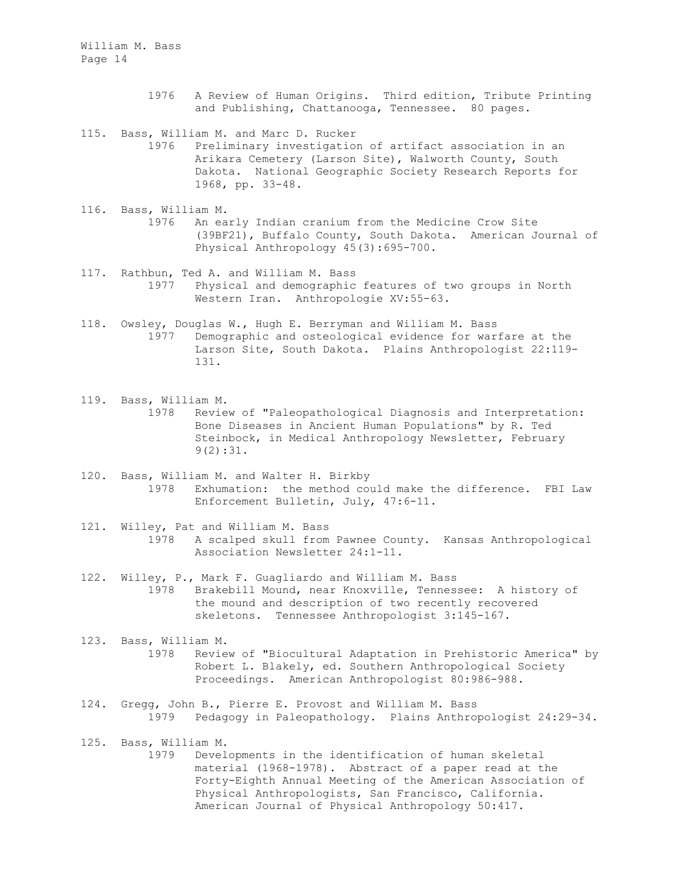- 1976 A Review of Human Origins. Third edition, Tribute Printing and Publishing, Chattanooga, Tennessee. 80 pages.
- 115. Bass, William M. and Marc D. Rucker
	- 1976 Preliminary investigation of artifact association in an Arikara Cemetery (Larson Site), Walworth County, South Dakota. National Geographic Society Research Reports for 1968, pp. 33-48.
- 116. Bass, William M. 1976 An early Indian cranium from the Medicine Crow Site (39BF21), Buffalo County, South Dakota. American Journal of Physical Anthropology 45(3):695-700.
- 117. Rathbun, Ted A. and William M. Bass 1977 Physical and demographic features of two groups in North Western Iran. Anthropologie XV:55-63.
- 118. Owsley, Douglas W., Hugh E. Berryman and William M. Bass 1977 Demographic and osteological evidence for warfare at the Larson Site, South Dakota. Plains Anthropologist 22:119- 131.
- 119. Bass, William M. 1978 Review of "Paleopathological Diagnosis and Interpretation: Bone Diseases in Ancient Human Populations" by R. Ted Steinbock, in Medical Anthropology Newsletter, February 9(2):31.
- 120. Bass, William M. and Walter H. Birkby 1978 Exhumation: the method could make the difference. FBI Law Enforcement Bulletin, July, 47:6-11.
- 121. Willey, Pat and William M. Bass 1978 A scalped skull from Pawnee County. Kansas Anthropological Association Newsletter 24:1-11.
- 122. Willey, P., Mark F. Guagliardo and William M. Bass 1978 Brakebill Mound, near Knoxville, Tennessee: A history of the mound and description of two recently recovered skeletons. Tennessee Anthropologist 3:145-167.
- 123. Bass, William M. 1978 Review of "Biocultural Adaptation in Prehistoric America" by Robert L. Blakely, ed. Southern Anthropological Society Proceedings. American Anthropologist 80:986-988.
- 124. Gregg, John B., Pierre E. Provost and William M. Bass 1979 Pedagogy in Paleopathology. Plains Anthropologist 24:29-34.
- 125. Bass, William M.
	- 1979 Developments in the identification of human skeletal material (1968-1978). Abstract of a paper read at the Forty-Eighth Annual Meeting of the American Association of Physical Anthropologists, San Francisco, California. American Journal of Physical Anthropology 50:417.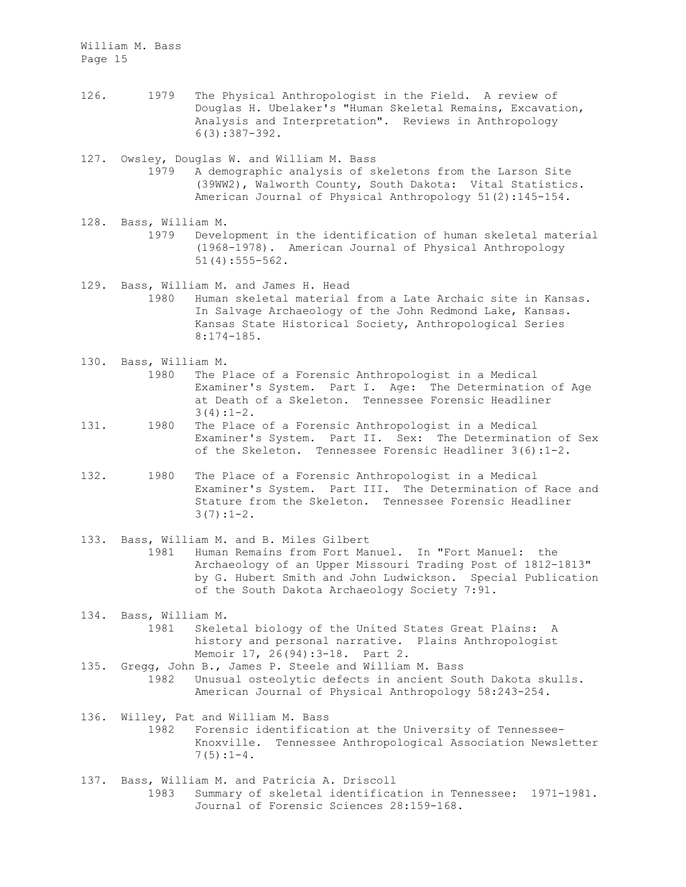- 126. 1979 The Physical Anthropologist in the Field. A review of Douglas H. Ubelaker's "Human Skeletal Remains, Excavation, Analysis and Interpretation". Reviews in Anthropology 6(3):387-392.
- 127. Owsley, Douglas W. and William M. Bass 1979 A demographic analysis of skeletons from the Larson Site (39WW2), Walworth County, South Dakota: Vital Statistics. American Journal of Physical Anthropology 51(2):145-154.
- 128. Bass, William M. 1979 Development in the identification of human skeletal material (1968-1978). American Journal of Physical Anthropology 51(4):555-562.
- 129. Bass, William M. and James H. Head
	- 1980 Human skeletal material from a Late Archaic site in Kansas. In Salvage Archaeology of the John Redmond Lake, Kansas. Kansas State Historical Society, Anthropological Series 8:174-185.
- 130. Bass, William M.
	- 1980 The Place of a Forensic Anthropologist in a Medical Examiner's System. Part I. Age: The Determination of Age at Death of a Skeleton. Tennessee Forensic Headliner  $3(4):1-2.$
- 131. 1980 The Place of a Forensic Anthropologist in a Medical Examiner's System. Part II. Sex: The Determination of Sex of the Skeleton. Tennessee Forensic Headliner 3(6):1-2.
- 132. 1980 The Place of a Forensic Anthropologist in a Medical Examiner's System. Part III. The Determination of Race and Stature from the Skeleton. Tennessee Forensic Headliner  $3(7):1-2.$
- 133. Bass, William M. and B. Miles Gilbert 1981 Human Remains from Fort Manuel. In "Fort Manuel: the Archaeology of an Upper Missouri Trading Post of 1812-1813" by G. Hubert Smith and John Ludwickson. Special Publication of the South Dakota Archaeology Society 7:91.
- 134. Bass, William M. 1981 Skeletal biology of the United States Great Plains: A history and personal narrative. Plains Anthropologist Memoir 17, 26(94):3-18. Part 2.
- 135. Gregg, John B., James P. Steele and William M. Bass 1982 Unusual osteolytic defects in ancient South Dakota skulls. American Journal of Physical Anthropology 58:243-254.
- 136. Willey, Pat and William M. Bass 1982 Forensic identification at the University of Tennessee-Knoxville. Tennessee Anthropological Association Newsletter  $7(5):1-4.$
- 137. Bass, William M. and Patricia A. Driscoll 1983 Summary of skeletal identification in Tennessee: 1971-1981. Journal of Forensic Sciences 28:159-168.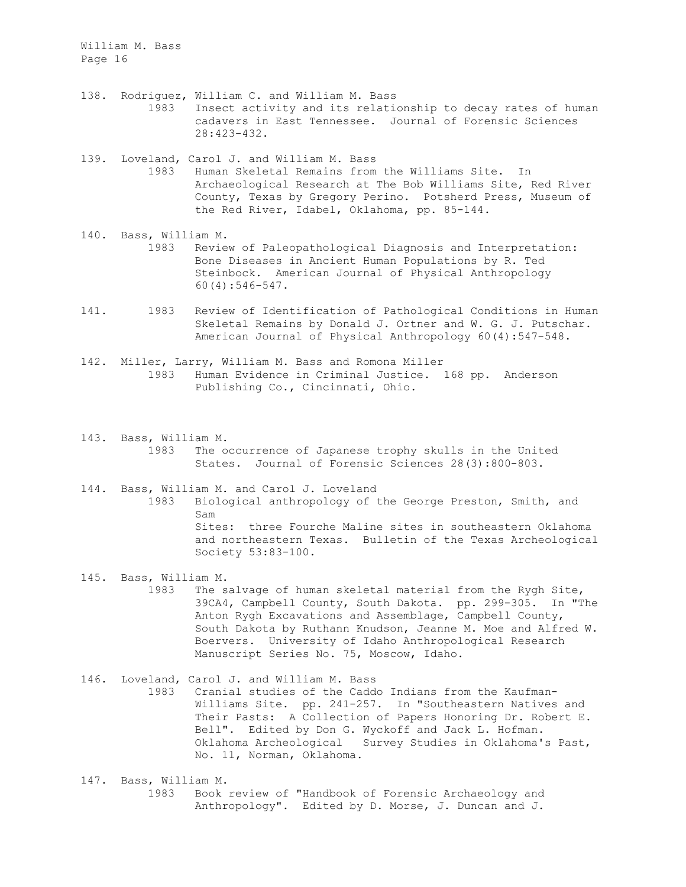- 138. Rodriguez, William C. and William M. Bass 1983 Insect activity and its relationship to decay rates of human cadavers in East Tennessee. Journal of Forensic Sciences 28:423-432.
- 139. Loveland, Carol J. and William M. Bass 1983 Human Skeletal Remains from the Williams Site. In Archaeological Research at The Bob Williams Site, Red River County, Texas by Gregory Perino. Potsherd Press, Museum of the Red River, Idabel, Oklahoma, pp. 85-144.
- 140. Bass, William M. 1983 Review of Paleopathological Diagnosis and Interpretation: Bone Diseases in Ancient Human Populations by R. Ted Steinbock. American Journal of Physical Anthropology 60(4):546-547.
- 141. 1983 Review of Identification of Pathological Conditions in Human Skeletal Remains by Donald J. Ortner and W. G. J. Putschar. American Journal of Physical Anthropology 60(4):547-548.
- 142. Miller, Larry, William M. Bass and Romona Miller 1983 Human Evidence in Criminal Justice. 168 pp. Anderson Publishing Co., Cincinnati, Ohio.
- 143. Bass, William M. 1983 The occurrence of Japanese trophy skulls in the United States. Journal of Forensic Sciences 28(3):800-803.
- 144. Bass, William M. and Carol J. Loveland 1983 Biological anthropology of the George Preston, Smith, and Sam Sites: three Fourche Maline sites in southeastern Oklahoma and northeastern Texas. Bulletin of the Texas Archeological Society 53:83-100.
- 145. Bass, William M. 1983 The salvage of human skeletal material from the Rygh Site, 39CA4, Campbell County, South Dakota. pp. 299-305. In "The Anton Rygh Excavations and Assemblage, Campbell County, South Dakota by Ruthann Knudson, Jeanne M. Moe and Alfred W. Boervers. University of Idaho Anthropological Research Manuscript Series No. 75, Moscow, Idaho.
- 146. Loveland, Carol J. and William M. Bass 1983 Cranial studies of the Caddo Indians from the Kaufman-Williams Site. pp. 241-257. In "Southeastern Natives and Their Pasts: A Collection of Papers Honoring Dr. Robert E. Bell". Edited by Don G. Wyckoff and Jack L. Hofman. Oklahoma Archeological Survey Studies in Oklahoma's Past, No. 11, Norman, Oklahoma.
- 147. Bass, William M. 1983 Book review of "Handbook of Forensic Archaeology and Anthropology". Edited by D. Morse, J. Duncan and J.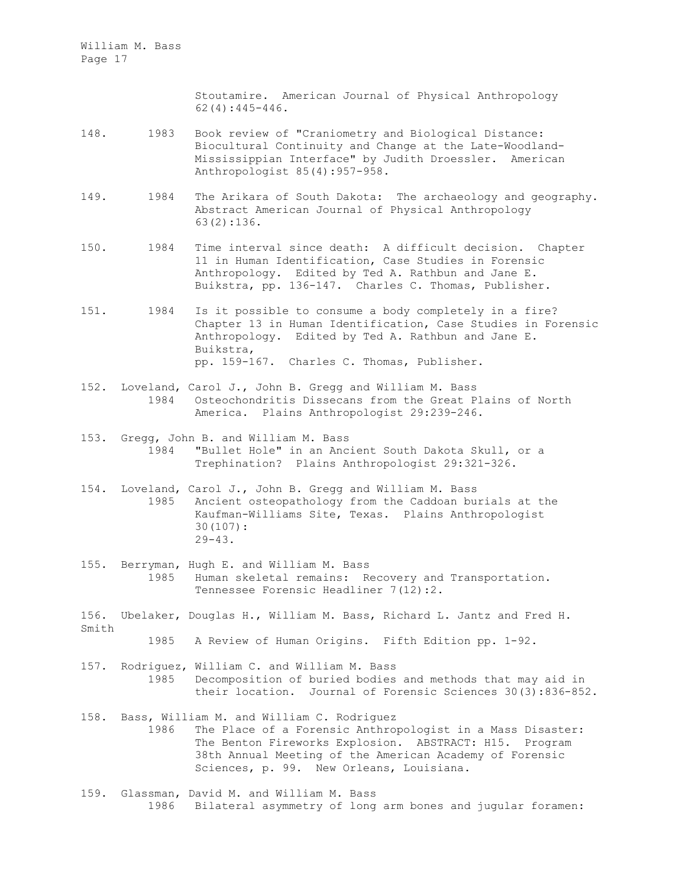> Stoutamire. American Journal of Physical Anthropology 62(4):445-446.

- 148. 1983 Book review of "Craniometry and Biological Distance: Biocultural Continuity and Change at the Late-Woodland-Mississippian Interface" by Judith Droessler. American Anthropologist 85(4):957-958.
- 149. 1984 The Arikara of South Dakota: The archaeology and geography. Abstract American Journal of Physical Anthropology 63(2):136.
- 150. 1984 Time interval since death: A difficult decision. Chapter 11 in Human Identification, Case Studies in Forensic Anthropology. Edited by Ted A. Rathbun and Jane E. Buikstra, pp. 136-147. Charles C. Thomas, Publisher.
- 151. 1984 Is it possible to consume a body completely in a fire? Chapter 13 in Human Identification, Case Studies in Forensic Anthropology. Edited by Ted A. Rathbun and Jane E. Buikstra, pp. 159-167. Charles C. Thomas, Publisher.
- 152. Loveland, Carol J., John B. Gregg and William M. Bass 1984 Osteochondritis Dissecans from the Great Plains of North America. Plains Anthropologist 29:239-246.
- 153. Gregg, John B. and William M. Bass 1984 "Bullet Hole" in an Ancient South Dakota Skull, or a Trephination? Plains Anthropologist 29:321-326.
- 154. Loveland, Carol J., John B. Gregg and William M. Bass 1985 Ancient osteopathology from the Caddoan burials at the Kaufman-Williams Site, Texas. Plains Anthropologist 30(107):  $29 - 43$ .
- 155. Berryman, Hugh E. and William M. Bass 1985 Human skeletal remains: Recovery and Transportation. Tennessee Forensic Headliner 7(12):2.
- 156. Ubelaker, Douglas H., William M. Bass, Richard L. Jantz and Fred H. Smith 1985 A Review of Human Origins. Fifth Edition pp. 1-92.
- 157. Rodriguez, William C. and William M. Bass 1985 Decomposition of buried bodies and methods that may aid in their location. Journal of Forensic Sciences 30(3):836-852.
- 158. Bass, William M. and William C. Rodriguez 1986 The Place of a Forensic Anthropologist in a Mass Disaster: The Benton Fireworks Explosion. ABSTRACT: H15. Program 38th Annual Meeting of the American Academy of Forensic Sciences, p. 99. New Orleans, Louisiana.
- 159. Glassman, David M. and William M. Bass 1986 Bilateral asymmetry of long arm bones and jugular foramen: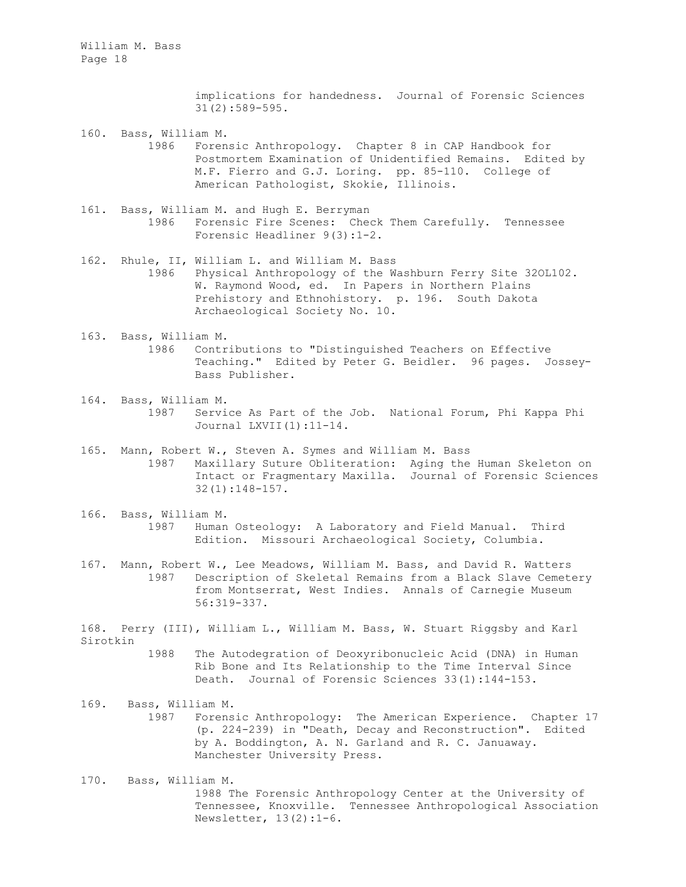> implications for handedness. Journal of Forensic Sciences 31(2):589-595.

160. Bass, William M. 1986 Forensic Anthropology. Chapter 8 in CAP Handbook for Postmortem Examination of Unidentified Remains. Edited by M.F. Fierro and G.J. Loring. pp. 85-110. College of American Pathologist, Skokie, Illinois.

- 161. Bass, William M. and Hugh E. Berryman 1986 Forensic Fire Scenes: Check Them Carefully. Tennessee Forensic Headliner 9(3):1-2.
- 162. Rhule, II, William L. and William M. Bass 1986 Physical Anthropology of the Washburn Ferry Site 32OL102. W. Raymond Wood, ed. In Papers in Northern Plains Prehistory and Ethnohistory. p. 196. South Dakota Archaeological Society No. 10.
- 163. Bass, William M. 1986 Contributions to "Distinguished Teachers on Effective Teaching." Edited by Peter G. Beidler. 96 pages. Jossey-Bass Publisher.
- 164. Bass, William M. 1987 Service As Part of the Job. National Forum, Phi Kappa Phi Journal LXVII(1):11-14.
- 165. Mann, Robert W., Steven A. Symes and William M. Bass 1987 Maxillary Suture Obliteration: Aging the Human Skeleton on Intact or Fragmentary Maxilla. Journal of Forensic Sciences 32(1):148-157.
- 166. Bass, William M. 1987 Human Osteology: A Laboratory and Field Manual. Third Edition. Missouri Archaeological Society, Columbia.
- 167. Mann, Robert W., Lee Meadows, William M. Bass, and David R. Watters 1987 Description of Skeletal Remains from a Black Slave Cemetery from Montserrat, West Indies. Annals of Carnegie Museum 56:319-337.

168. Perry (III), William L., William M. Bass, W. Stuart Riggsby and Karl Sirotkin

- 1988 The Autodegration of Deoxyribonucleic Acid (DNA) in Human Rib Bone and Its Relationship to the Time Interval Since Death. Journal of Forensic Sciences 33(1):144-153.
- 169. Bass, William M. 1987 Forensic Anthropology: The American Experience. Chapter 17 (p. 224-239) in "Death, Decay and Reconstruction". Edited by A. Boddington, A. N. Garland and R. C. Januaway. Manchester University Press.
- 170. Bass, William M. 1988 The Forensic Anthropology Center at the University of Tennessee, Knoxville. Tennessee Anthropological Association Newsletter, 13(2):1-6.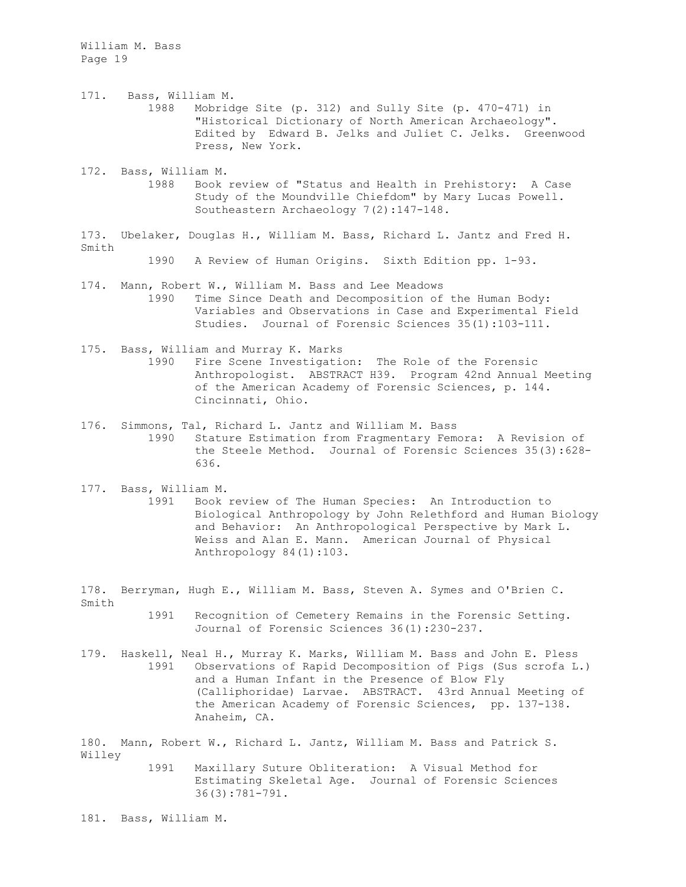- 171. Bass, William M. 1988 Mobridge Site (p. 312) and Sully Site (p. 470-471) in "Historical Dictionary of North American Archaeology". Edited by Edward B. Jelks and Juliet C. Jelks. Greenwood Press, New York.
- 172. Bass, William M. 1988 Book review of "Status and Health in Prehistory: A Case Study of the Moundville Chiefdom" by Mary Lucas Powell. Southeastern Archaeology 7(2):147-148.
- 173. Ubelaker, Douglas H., William M. Bass, Richard L. Jantz and Fred H. Smith

1990 A Review of Human Origins. Sixth Edition pp. 1-93.

- 174. Mann, Robert W., William M. Bass and Lee Meadows 1990 Time Since Death and Decomposition of the Human Body: Variables and Observations in Case and Experimental Field Studies. Journal of Forensic Sciences 35(1):103-111.
- 175. Bass, William and Murray K. Marks 1990 Fire Scene Investigation: The Role of the Forensic Anthropologist. ABSTRACT H39. Program 42nd Annual Meeting of the American Academy of Forensic Sciences, p. 144. Cincinnati, Ohio.
- 176. Simmons, Tal, Richard L. Jantz and William M. Bass 1990 Stature Estimation from Fragmentary Femora: A Revision of the Steele Method. Journal of Forensic Sciences 35(3):628- 636.
- 177. Bass, William M. 1991 Book review of The Human Species: An Introduction to Biological Anthropology by John Relethford and Human Biology and Behavior: An Anthropological Perspective by Mark L. Weiss and Alan E. Mann. American Journal of Physical Anthropology 84(1):103.
- 178. Berryman, Hugh E., William M. Bass, Steven A. Symes and O'Brien C. Smith
	- 1991 Recognition of Cemetery Remains in the Forensic Setting. Journal of Forensic Sciences 36(1):230-237.
- 179. Haskell, Neal H., Murray K. Marks, William M. Bass and John E. Pless 1991 Observations of Rapid Decomposition of Pigs (Sus scrofa L.) and a Human Infant in the Presence of Blow Fly (Calliphoridae) Larvae. ABSTRACT. 43rd Annual Meeting of the American Academy of Forensic Sciences, pp. 137-138. Anaheim, CA.

180. Mann, Robert W., Richard L. Jantz, William M. Bass and Patrick S. Willey

1991 Maxillary Suture Obliteration: A Visual Method for Estimating Skeletal Age. Journal of Forensic Sciences 36(3):781-791.

181. Bass, William M.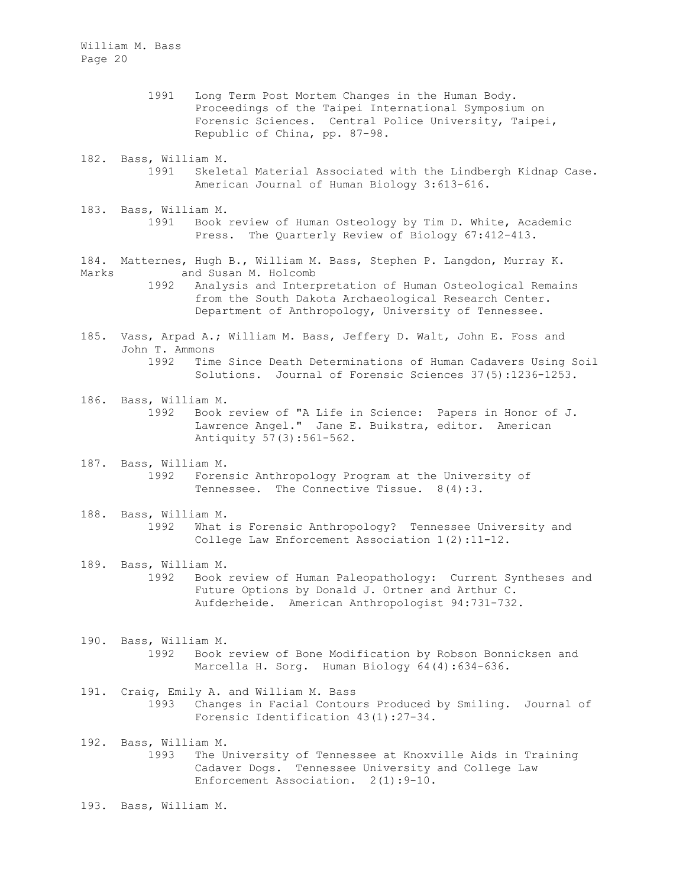- 1991 Long Term Post Mortem Changes in the Human Body. Proceedings of the Taipei International Symposium on Forensic Sciences. Central Police University, Taipei, Republic of China, pp. 87-98.
- 182. Bass, William M. 1991 Skeletal Material Associated with the Lindbergh Kidnap Case. American Journal of Human Biology 3:613-616.
- 183. Bass, William M. 1991 Book review of Human Osteology by Tim D. White, Academic Press. The Quarterly Review of Biology 67:412-413.

184. Matternes, Hugh B., William M. Bass, Stephen P. Langdon, Murray K.<br>Marks and Susan M. Holcomb and Susan M. Holcomb

1992 Analysis and Interpretation of Human Osteological Remains from the South Dakota Archaeological Research Center. Department of Anthropology, University of Tennessee.

- 185. Vass, Arpad A.; William M. Bass, Jeffery D. Walt, John E. Foss and John T. Ammons 1992 Time Since Death Determinations of Human Cadavers Using Soil Solutions. Journal of Forensic Sciences 37(5):1236-1253.
- 186. Bass, William M. 1992 Book review of "A Life in Science: Papers in Honor of J. Lawrence Angel." Jane E. Buikstra, editor. American Antiquity 57(3):561-562.
- 187. Bass, William M. 1992 Forensic Anthropology Program at the University of Tennessee. The Connective Tissue. 8(4):3.
- 188. Bass, William M. 1992 What is Forensic Anthropology? Tennessee University and College Law Enforcement Association 1(2):11-12.
- 189. Bass, William M. 1992 Book review of Human Paleopathology: Current Syntheses and Future Options by Donald J. Ortner and Arthur C. Aufderheide. American Anthropologist 94:731-732.
- 190. Bass, William M. 1992 Book review of Bone Modification by Robson Bonnicksen and Marcella H. Sorg. Human Biology 64(4):634-636.
- 191. Craig, Emily A. and William M. Bass 1993 Changes in Facial Contours Produced by Smiling. Journal of Forensic Identification 43(1):27-34.
- 192. Bass, William M. 1993 The University of Tennessee at Knoxville Aids in Training Cadaver Dogs. Tennessee University and College Law Enforcement Association. 2(1):9-10.
- 193. Bass, William M.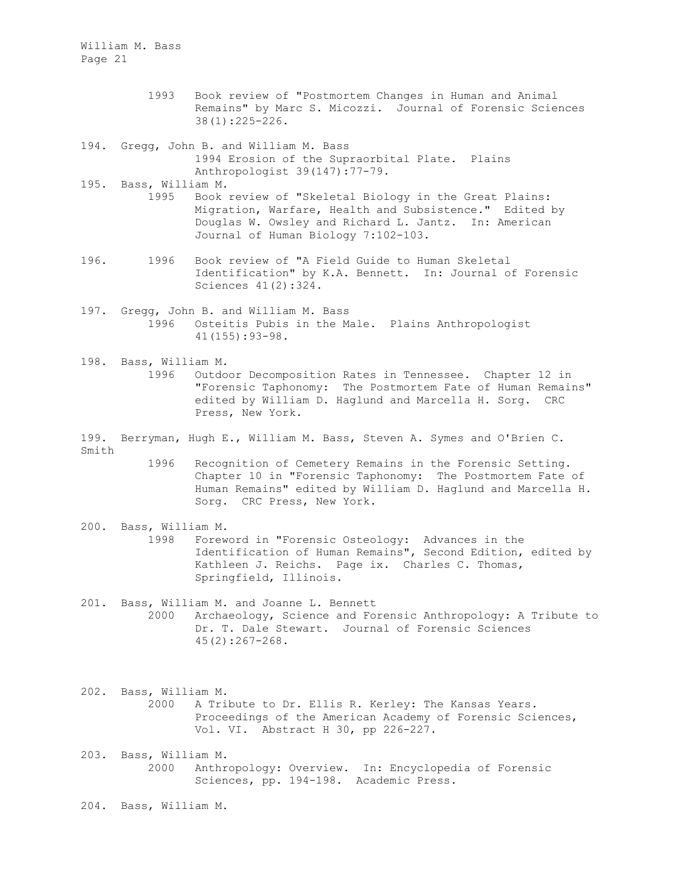- 1993 Book review of "Postmortem Changes in Human and Animal Remains" by Marc S. Micozzi. Journal of Forensic Sciences 38(1):225-226.
- 194. Gregg, John B. and William M. Bass 1994 Erosion of the Supraorbital Plate. Plains Anthropologist 39(147):77-79.
- 195. Bass, William M.<br>1995 Book
	- Book review of "Skeletal Biology in the Great Plains: Migration, Warfare, Health and Subsistence." Edited by Douglas W. Owsley and Richard L. Jantz. In: American Journal of Human Biology 7:102-103.
- 196. 1996 Book review of "A Field Guide to Human Skeletal Identification" by K.A. Bennett. In: Journal of Forensic Sciences 41(2):324.
- 197. Gregg, John B. and William M. Bass 1996 Osteitis Pubis in the Male. Plains Anthropologist 41(155):93-98.
- 198. Bass, William M. 1996 Outdoor Decomposition Rates in Tennessee. Chapter 12 in "Forensic Taphonomy: The Postmortem Fate of Human Remains" edited by William D. Haglund and Marcella H. Sorg. CRC Press, New York.
- 199. Berryman, Hugh E., William M. Bass, Steven A. Symes and O'Brien C. Smith
	- 1996 Recognition of Cemetery Remains in the Forensic Setting. Chapter 10 in "Forensic Taphonomy: The Postmortem Fate of Human Remains" edited by William D. Haglund and Marcella H. Sorg. CRC Press, New York.
- 200. Bass, William M. 1998 Foreword in "Forensic Osteology: Advances in the Identification of Human Remains", Second Edition, edited by Kathleen J. Reichs. Page ix. Charles C. Thomas, Springfield, Illinois.
- 201. Bass, William M. and Joanne L. Bennett 2000 Archaeology, Science and Forensic Anthropology: A Tribute to Dr. T. Dale Stewart. Journal of Forensic Sciences 45(2):267-268.
- 202. Bass, William M. 2000 A Tribute to Dr. Ellis R. Kerley: The Kansas Years. Proceedings of the American Academy of Forensic Sciences, Vol. VI. Abstract H 30, pp 226-227.
- 203. Bass, William M. 2000 Anthropology: Overview. In: Encyclopedia of Forensic Sciences, pp. 194-198. Academic Press.
- 204. Bass, William M.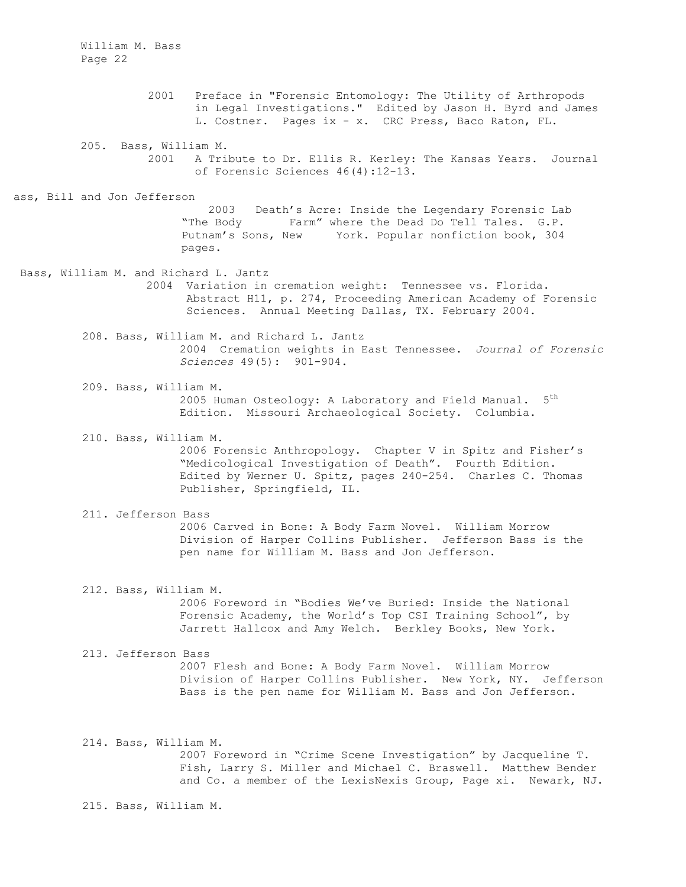> 2001 Preface in "Forensic Entomology: The Utility of Arthropods in Legal Investigations." Edited by Jason H. Byrd and James L. Costner. Pages ix - x. CRC Press, Baco Raton, FL.

205. Bass, William M. 2001 A Tribute to Dr. Ellis R. Kerley: The Kansas Years. Journal of Forensic Sciences 46(4):12-13.

ass, Bill and Jon Jefferson

 2003 Death's Acre: Inside the Legendary Forensic Lab "The Body Farm" where the Dead Do Tell Tales. G.P.<br>Putnam's Sons, New York. Popular nonfiction book, 304 York. Popular nonfiction book, 304 pages.

Bass, William M. and Richard L. Jantz 2004 Variation in cremation weight: Tennessee vs. Florida. Abstract H11, p. 274, Proceeding American Academy of Forensic Sciences. Annual Meeting Dallas, TX. February 2004.

> 208. Bass, William M. and Richard L. Jantz 2004 Cremation weights in East Tennessee. *Journal of Forensic Sciences* 49(5): 901-904.

209. Bass, William M. 2005 Human Osteology: A Laboratory and Field Manual. 5<sup>th</sup> Edition. Missouri Archaeological Society. Columbia.

210. Bass, William M. 2006 Forensic Anthropology. Chapter V in Spitz and Fisher's "Medicological Investigation of Death". Fourth Edition. Edited by Werner U. Spitz, pages 240-254. Charles C. Thomas Publisher, Springfield, IL.

- 211. Jefferson Bass 2006 Carved in Bone: A Body Farm Novel. William Morrow Division of Harper Collins Publisher. Jefferson Bass is the pen name for William M. Bass and Jon Jefferson.
- 212. Bass, William M. 2006 Foreword in "Bodies We've Buried: Inside the National Forensic Academy, the World's Top CSI Training School", by Jarrett Hallcox and Amy Welch. Berkley Books, New York.
- 213. Jefferson Bass 2007 Flesh and Bone: A Body Farm Novel. William Morrow Division of Harper Collins Publisher. New York, NY. Jefferson Bass is the pen name for William M. Bass and Jon Jefferson.
- 214. Bass, William M. 2007 Foreword in "Crime Scene Investigation" by Jacqueline T. Fish, Larry S. Miller and Michael C. Braswell. Matthew Bender and Co. a member of the LexisNexis Group, Page xi. Newark, NJ.

215. Bass, William M.